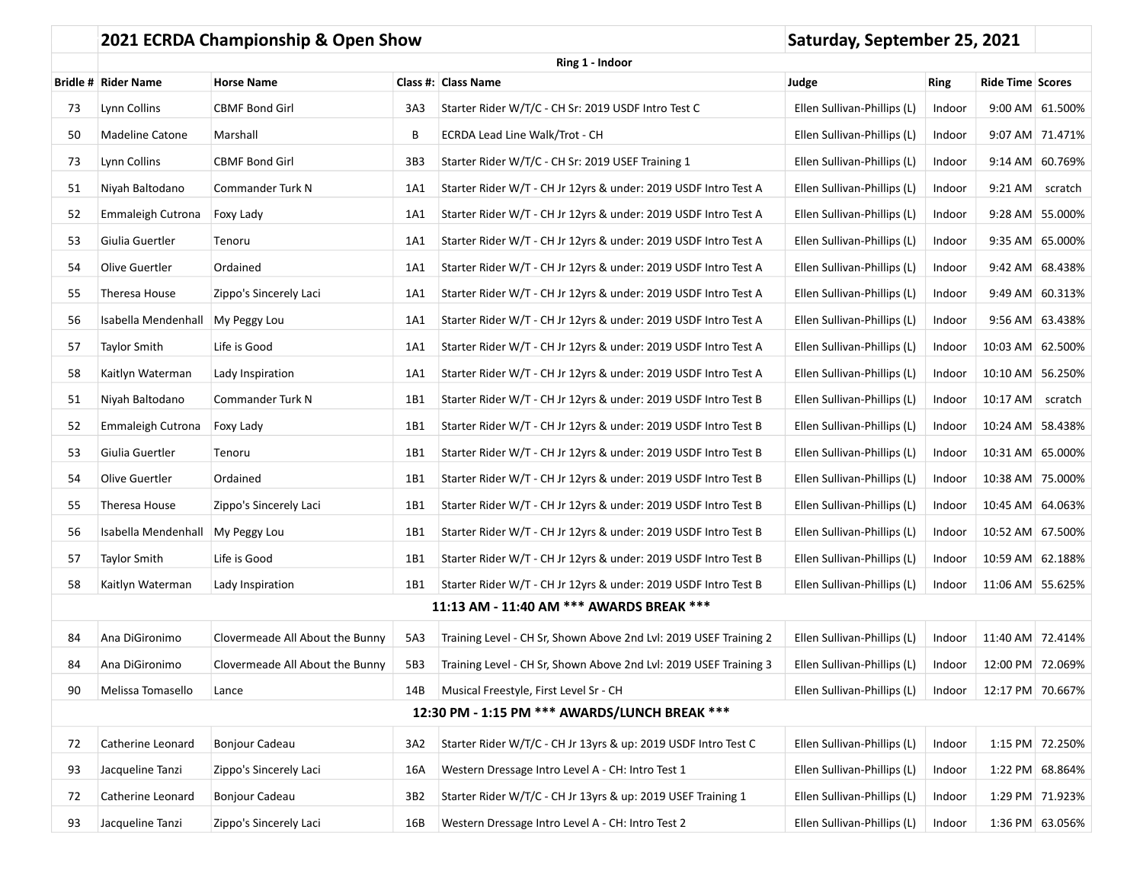|                 | 2021 ECRDA Championship & Open Show | Saturday, September 25, 2021    |     |                                                                   |                             |             |                         |                  |
|-----------------|-------------------------------------|---------------------------------|-----|-------------------------------------------------------------------|-----------------------------|-------------|-------------------------|------------------|
| Ring 1 - Indoor |                                     |                                 |     |                                                                   |                             |             |                         |                  |
|                 | <b>Bridle # Rider Name</b>          | <b>Horse Name</b>               |     | Class #: Class Name                                               | Judge                       | <b>Ring</b> | <b>Ride Time Scores</b> |                  |
| 73              | Lynn Collins                        | <b>CBMF Bond Girl</b>           | 3A3 | Starter Rider W/T/C - CH Sr: 2019 USDF Intro Test C               | Ellen Sullivan-Phillips (L) | Indoor      |                         | 9:00 AM 61.500%  |
| 50              | <b>Madeline Catone</b>              | Marshall                        | В   | ECRDA Lead Line Walk/Trot - CH                                    | Ellen Sullivan-Phillips (L) | Indoor      |                         | 9:07 AM 71.471%  |
| 73              | Lynn Collins                        | <b>CBMF Bond Girl</b>           | 3B3 | Starter Rider W/T/C - CH Sr: 2019 USEF Training 1                 | Ellen Sullivan-Phillips (L) | Indoor      |                         | 9:14 AM 60.769%  |
| 51              | Niyah Baltodano                     | Commander Turk N                | 1A1 | Starter Rider W/T - CH Jr 12yrs & under: 2019 USDF Intro Test A   | Ellen Sullivan-Phillips (L) | Indoor      |                         | 9:21 AM scratch  |
| 52              | Emmaleigh Cutrona                   | Foxy Lady                       | 1A1 | Starter Rider W/T - CH Jr 12yrs & under: 2019 USDF Intro Test A   | Ellen Sullivan-Phillips (L) | Indoor      |                         | 9:28 AM 55.000%  |
| 53              | Giulia Guertler                     | Tenoru                          | 1A1 | Starter Rider W/T - CH Jr 12yrs & under: 2019 USDF Intro Test A   | Ellen Sullivan-Phillips (L) | Indoor      |                         | 9:35 AM 65.000%  |
| 54              | Olive Guertler                      | Ordained                        | 1A1 | Starter Rider W/T - CH Jr 12yrs & under: 2019 USDF Intro Test A   | Ellen Sullivan-Phillips (L) | Indoor      |                         | 9:42 AM 68.438%  |
| 55              | Theresa House                       | Zippo's Sincerely Laci          | 1A1 | Starter Rider W/T - CH Jr 12yrs & under: 2019 USDF Intro Test A   | Ellen Sullivan-Phillips (L) | Indoor      |                         | 9:49 AM 60.313%  |
| 56              | Isabella Mendenhall                 | My Peggy Lou                    | 1A1 | Starter Rider W/T - CH Jr 12yrs & under: 2019 USDF Intro Test A   | Ellen Sullivan-Phillips (L) | Indoor      |                         | 9:56 AM 63.438%  |
| 57              | <b>Taylor Smith</b>                 | Life is Good                    | 1A1 | Starter Rider W/T - CH Jr 12yrs & under: 2019 USDF Intro Test A   | Ellen Sullivan-Phillips (L) | Indoor      |                         | 10:03 AM 62.500% |
| 58              | Kaitlyn Waterman                    | Lady Inspiration                | 1A1 | Starter Rider W/T - CH Jr 12yrs & under: 2019 USDF Intro Test A   | Ellen Sullivan-Phillips (L) | Indoor      |                         | 10:10 AM 56.250% |
| 51              | Niyah Baltodano                     | Commander Turk N                | 1B1 | Starter Rider W/T - CH Jr 12yrs & under: 2019 USDF Intro Test B   | Ellen Sullivan-Phillips (L) | Indoor      | 10:17 AM scratch        |                  |
| 52              | Emmaleigh Cutrona                   | Foxy Lady                       | 1B1 | Starter Rider W/T - CH Jr 12yrs & under: 2019 USDF Intro Test B   | Ellen Sullivan-Phillips (L) | Indoor      |                         | 10:24 AM 58.438% |
| 53              | Giulia Guertler                     | Tenoru                          | 1B1 | Starter Rider W/T - CH Jr 12yrs & under: 2019 USDF Intro Test B   | Ellen Sullivan-Phillips (L) | Indoor      |                         | 10:31 AM 65.000% |
| 54              | Olive Guertler                      | Ordained                        | 1B1 | Starter Rider W/T - CH Jr 12yrs & under: 2019 USDF Intro Test B   | Ellen Sullivan-Phillips (L) | Indoor      | 10:38 AM 75.000%        |                  |
| 55              | Theresa House                       | Zippo's Sincerely Laci          | 1B1 | Starter Rider W/T - CH Jr 12yrs & under: 2019 USDF Intro Test B   | Ellen Sullivan-Phillips (L) | Indoor      |                         | 10:45 AM 64.063% |
| 56              | Isabella Mendenhall                 | My Peggy Lou                    | 1B1 | Starter Rider W/T - CH Jr 12yrs & under: 2019 USDF Intro Test B   | Ellen Sullivan-Phillips (L) | Indoor      | 10:52 AM 67.500%        |                  |
| 57              | Taylor Smith                        | Life is Good                    | 1B1 | Starter Rider W/T - CH Jr 12yrs & under: 2019 USDF Intro Test B   | Ellen Sullivan-Phillips (L) | Indoor      |                         | 10:59 AM 62.188% |
| 58              | Kaitlyn Waterman                    | Lady Inspiration                | 1B1 | Starter Rider W/T - CH Jr 12yrs & under: 2019 USDF Intro Test B   | Ellen Sullivan-Phillips (L) | Indoor      | 11:06 AM 55.625%        |                  |
|                 |                                     |                                 |     | 11:13 AM - 11:40 AM *** AWARDS BREAK ***                          |                             |             |                         |                  |
| 84              | Ana DiGironimo                      | Clovermeade All About the Bunny | 5A3 | Training Level - CH Sr, Shown Above 2nd Lvl: 2019 USEF Training 2 | Ellen Sullivan-Phillips (L) | Indoor      | 11:40 AM 72.414%        |                  |
| 84              | Ana DiGironimo                      | Clovermeade All About the Bunny | 5B3 | Training Level - CH Sr, Shown Above 2nd Lvl: 2019 USEF Training 3 | Ellen Sullivan-Phillips (L) | Indoor      |                         | 12:00 PM 72.069% |
| 90              | Melissa Tomasello                   | Lance                           | 14B | Musical Freestyle, First Level Sr - CH                            | Ellen Sullivan-Phillips (L) | Indoor      |                         | 12:17 PM 70.667% |
|                 |                                     |                                 |     | 12:30 PM - 1:15 PM *** AWARDS/LUNCH BREAK ***                     |                             |             |                         |                  |
| 72              | Catherine Leonard                   | <b>Bonjour Cadeau</b>           | 3A2 | Starter Rider W/T/C - CH Jr 13yrs & up: 2019 USDF Intro Test C    | Ellen Sullivan-Phillips (L) | Indoor      |                         | 1:15 PM 72.250%  |
| 93              | Jacqueline Tanzi                    | Zippo's Sincerely Laci          | 16A | Western Dressage Intro Level A - CH: Intro Test 1                 | Ellen Sullivan-Phillips (L) | Indoor      |                         | 1:22 PM 68.864%  |
| 72              | Catherine Leonard                   | Bonjour Cadeau                  | 3B2 | Starter Rider W/T/C - CH Jr 13yrs & up: 2019 USEF Training 1      | Ellen Sullivan-Phillips (L) | Indoor      |                         | 1:29 PM 71.923%  |
| 93              | Jacqueline Tanzi                    | Zippo's Sincerely Laci          | 16B | Western Dressage Intro Level A - CH: Intro Test 2                 | Ellen Sullivan-Phillips (L) | Indoor      |                         | 1:36 PM 63.056%  |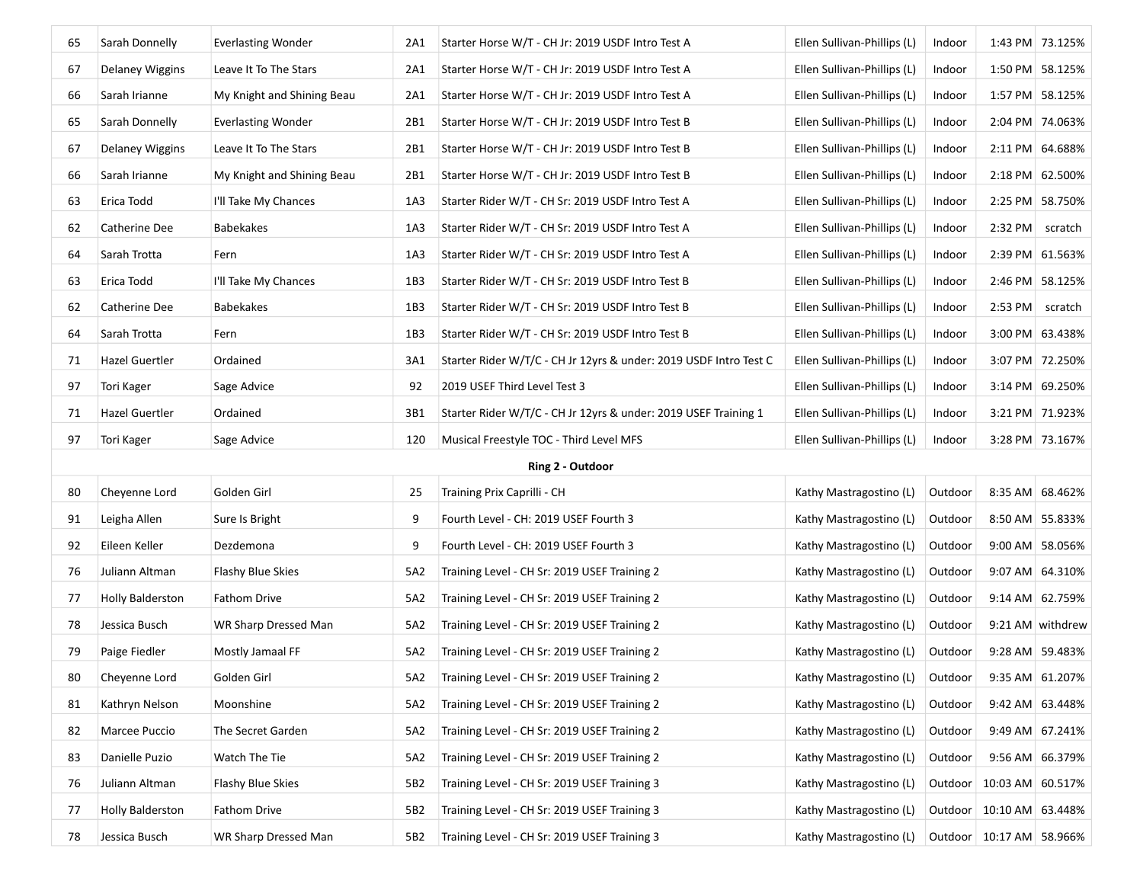| 65 | Sarah Donnelly          | <b>Everlasting Wonder</b>  | 2A1 | Starter Horse W/T - CH Jr: 2019 USDF Intro Test A                 | Ellen Sullivan-Phillips (L) | Indoor  | 1:43 PM 73.125%              |                  |
|----|-------------------------|----------------------------|-----|-------------------------------------------------------------------|-----------------------------|---------|------------------------------|------------------|
| 67 | <b>Delaney Wiggins</b>  | Leave It To The Stars      | 2A1 | Starter Horse W/T - CH Jr: 2019 USDF Intro Test A                 | Ellen Sullivan-Phillips (L) | Indoor  |                              | 1:50 PM 58.125%  |
| 66 | Sarah Irianne           | My Knight and Shining Beau | 2A1 | Starter Horse W/T - CH Jr: 2019 USDF Intro Test A                 | Ellen Sullivan-Phillips (L) | Indoor  |                              | 1:57 PM 58.125%  |
| 65 | Sarah Donnelly          | <b>Everlasting Wonder</b>  | 2B1 | Starter Horse W/T - CH Jr: 2019 USDF Intro Test B                 | Ellen Sullivan-Phillips (L) | Indoor  |                              | 2:04 PM 74.063%  |
| 67 | <b>Delaney Wiggins</b>  | Leave It To The Stars      | 2B1 | Starter Horse W/T - CH Jr: 2019 USDF Intro Test B                 | Ellen Sullivan-Phillips (L) | Indoor  |                              | 2:11 PM 64.688%  |
| 66 | Sarah Irianne           | My Knight and Shining Beau | 2B1 | Starter Horse W/T - CH Jr: 2019 USDF Intro Test B                 | Ellen Sullivan-Phillips (L) | Indoor  |                              | 2:18 PM 62.500%  |
| 63 | Erica Todd              | I'll Take My Chances       | 1A3 | Starter Rider W/T - CH Sr: 2019 USDF Intro Test A                 | Ellen Sullivan-Phillips (L) | Indoor  |                              | 2:25 PM 58.750%  |
| 62 | Catherine Dee           | Babekakes                  | 1A3 | Starter Rider W/T - CH Sr: 2019 USDF Intro Test A                 | Ellen Sullivan-Phillips (L) | Indoor  | 2:32 PM scratch              |                  |
| 64 | Sarah Trotta            | Fern                       | 1A3 | Starter Rider W/T - CH Sr: 2019 USDF Intro Test A                 | Ellen Sullivan-Phillips (L) | Indoor  |                              | 2:39 PM 61.563%  |
| 63 | Erica Todd              | I'll Take My Chances       | 1B3 | Starter Rider W/T - CH Sr: 2019 USDF Intro Test B                 | Ellen Sullivan-Phillips (L) | Indoor  |                              | 2:46 PM 58.125%  |
| 62 | Catherine Dee           | Babekakes                  | 1B3 | Starter Rider W/T - CH Sr: 2019 USDF Intro Test B                 | Ellen Sullivan-Phillips (L) | Indoor  | $2:53$ PM                    | scratch          |
| 64 | Sarah Trotta            | Fern                       | 1B3 | Starter Rider W/T - CH Sr: 2019 USDF Intro Test B                 | Ellen Sullivan-Phillips (L) | Indoor  |                              | 3:00 PM 63.438%  |
| 71 | Hazel Guertler          | Ordained                   | 3A1 | Starter Rider W/T/C - CH Jr 12yrs & under: 2019 USDF Intro Test C | Ellen Sullivan-Phillips (L) | Indoor  |                              | 3:07 PM 72.250%  |
| 97 | Tori Kager              | Sage Advice                | 92  | 2019 USEF Third Level Test 3                                      | Ellen Sullivan-Phillips (L) | Indoor  |                              | 3:14 PM 69.250%  |
| 71 | <b>Hazel Guertler</b>   | Ordained                   | 3B1 | Starter Rider W/T/C - CH Jr 12yrs & under: 2019 USEF Training 1   | Ellen Sullivan-Phillips (L) | Indoor  |                              | 3:21 PM 71.923%  |
| 97 | Tori Kager              | Sage Advice                | 120 | Musical Freestyle TOC - Third Level MFS                           | Ellen Sullivan-Phillips (L) | Indoor  |                              | 3:28 PM 73.167%  |
|    |                         |                            |     | Ring 2 - Outdoor                                                  |                             |         |                              |                  |
| 80 | Cheyenne Lord           | Golden Girl                | 25  | Training Prix Caprilli - CH                                       | Kathy Mastragostino (L)     | Outdoor | 8:35 AM 68.462%              |                  |
| 91 | Leigha Allen            | Sure Is Bright             | 9   | Fourth Level - CH: 2019 USEF Fourth 3                             | Kathy Mastragostino (L)     | Outdoor |                              | 8:50 AM 55.833%  |
| 92 | Eileen Keller           | Dezdemona                  | 9   | Fourth Level - CH: 2019 USEF Fourth 3                             | Kathy Mastragostino (L)     | Outdoor | 9:00 AM 58.056%              |                  |
| 76 | Juliann Altman          | Flashy Blue Skies          | 5A2 | Training Level - CH Sr: 2019 USEF Training 2                      | Kathy Mastragostino (L)     | Outdoor |                              | 9:07 AM 64.310%  |
| 77 | <b>Holly Balderston</b> | Fathom Drive               | 5A2 | Training Level - CH Sr: 2019 USEF Training 2                      | Kathy Mastragostino (L)     | Outdoor | 9:14 AM 62.759%              |                  |
| 78 | Jessica Busch           | WR Sharp Dressed Man       | 5A2 | Training Level - CH Sr: 2019 USEF Training 2                      | Kathy Mastragostino (L)     | Outdoor |                              | 9:21 AM withdrew |
| 79 | Paige Fiedler           | Mostly Jamaal FF           | 5A2 | Training Level - CH Sr: 2019 USEF Training 2                      | Kathy Mastragostino (L)     | Outdoor | 9:28 AM 59.483%              |                  |
| 80 | Cheyenne Lord           | Golden Girl                | 5A2 | Training Level - CH Sr: 2019 USEF Training 2                      | Kathy Mastragostino (L)     | Outdoor | 9:35 AM 61.207%              |                  |
| 81 | Kathryn Nelson          | Moonshine                  | 5A2 | Training Level - CH Sr: 2019 USEF Training 2                      | Kathy Mastragostino (L)     | Outdoor |                              | 9:42 AM 63.448%  |
| 82 | Marcee Puccio           | The Secret Garden          | 5A2 | Training Level - CH Sr: 2019 USEF Training 2                      | Kathy Mastragostino (L)     | Outdoor |                              | 9:49 AM 67.241%  |
|    |                         |                            |     |                                                                   |                             |         |                              |                  |
| 83 | Danielle Puzio          | Watch The Tie              | 5A2 | Training Level - CH Sr: 2019 USEF Training 2                      | Kathy Mastragostino (L)     | Outdoor | 9:56 AM 66.379%              |                  |
| 76 | Juliann Altman          | Flashy Blue Skies          | 5B2 | Training Level - CH Sr: 2019 USEF Training 3                      | Kathy Mastragostino (L)     |         | Outdoor   10:03 AM   60.517% |                  |
| 77 | <b>Holly Balderston</b> | Fathom Drive               | 5B2 | Training Level - CH Sr: 2019 USEF Training 3                      | Kathy Mastragostino (L)     |         | Outdoor   10:10 AM   63.448% |                  |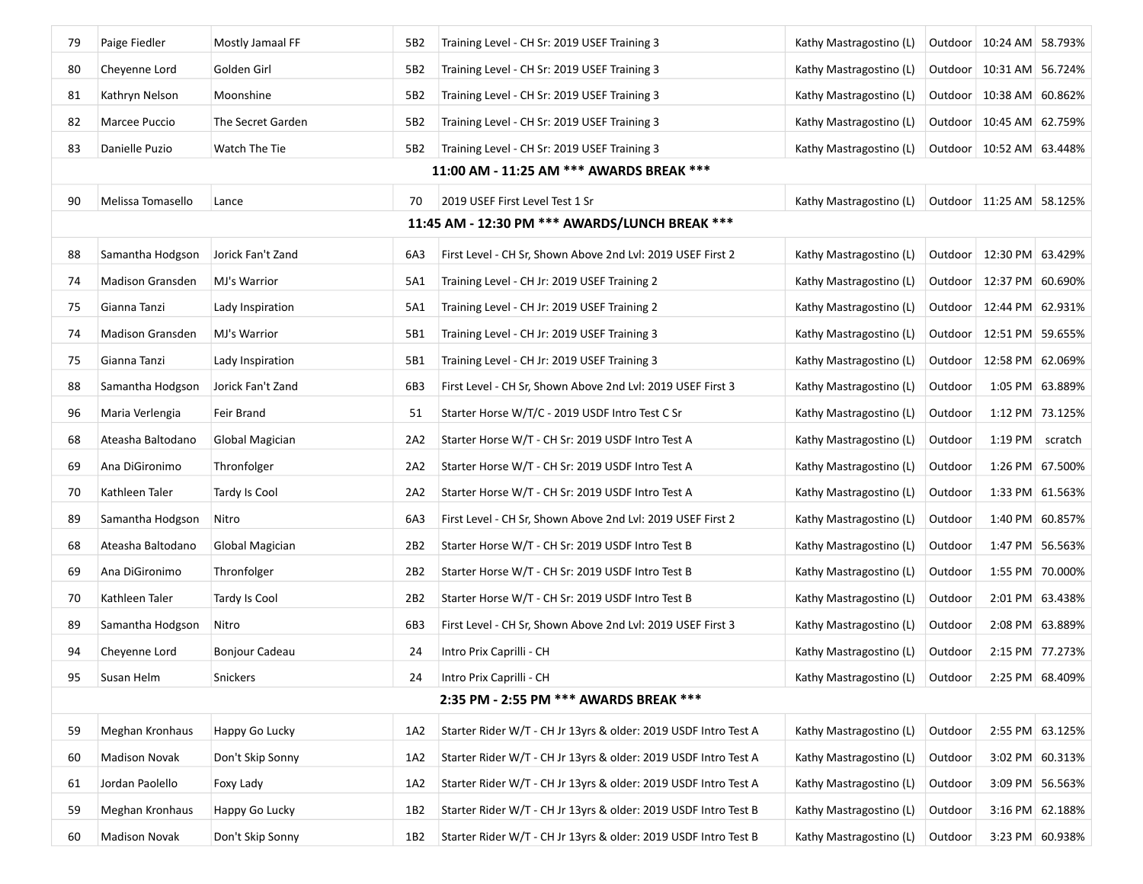| 79 | Paige Fiedler                                  | Mostly Jamaal FF      | 5B2             | Training Level - CH Sr: 2019 USEF Training 3                    | Kathy Mastragostino (L)                         |         | Outdoor   10:24 AM   58.793% |                 |  |
|----|------------------------------------------------|-----------------------|-----------------|-----------------------------------------------------------------|-------------------------------------------------|---------|------------------------------|-----------------|--|
| 80 | Cheyenne Lord                                  | Golden Girl           | 5B2             | Training Level - CH Sr: 2019 USEF Training 3                    | Kathy Mastragostino (L)                         |         | Outdoor   10:31 AM   56.724% |                 |  |
| 81 | Kathryn Nelson                                 | Moonshine             | 5B2             | Training Level - CH Sr: 2019 USEF Training 3                    | Kathy Mastragostino (L)                         |         | Outdoor   10:38 AM   60.862% |                 |  |
| 82 | Marcee Puccio                                  | The Secret Garden     | 5B2             | Training Level - CH Sr: 2019 USEF Training 3                    | Kathy Mastragostino (L)                         |         | Outdoor   10:45 AM   62.759% |                 |  |
| 83 | Danielle Puzio                                 | Watch The Tie         | 5B2             | Training Level - CH Sr: 2019 USEF Training 3                    | Kathy Mastragostino (L)                         |         | Outdoor   10:52 AM   63.448% |                 |  |
|    |                                                |                       |                 | 11:00 AM - 11:25 AM *** AWARDS BREAK ***                        |                                                 |         |                              |                 |  |
| 90 | Melissa Tomasello                              | Lance                 | 70              | 2019 USEF First Level Test 1 Sr                                 | Kathy Mastragostino (L)                         |         | Outdoor   11:25 AM   58.125% |                 |  |
|    | 11:45 AM - 12:30 PM *** AWARDS/LUNCH BREAK *** |                       |                 |                                                                 |                                                 |         |                              |                 |  |
| 88 | Samantha Hodgson                               | Jorick Fan't Zand     | 6A3             | First Level - CH Sr, Shown Above 2nd Lvl: 2019 USEF First 2     | Kathy Mastragostino (L)                         |         | Outdoor   12:30 PM   63.429% |                 |  |
| 74 | Madison Gransden                               | MJ's Warrior          | 5A1             | Training Level - CH Jr: 2019 USEF Training 2                    | Kathy Mastragostino (L)                         |         | Outdoor   12:37 PM   60.690% |                 |  |
| 75 | Gianna Tanzi                                   | Lady Inspiration      | 5A1             | Training Level - CH Jr: 2019 USEF Training 2                    | Kathy Mastragostino (L)                         |         | Outdoor   12:44 PM   62.931% |                 |  |
| 74 | Madison Gransden                               | MJ's Warrior          | 5B1             | Training Level - CH Jr: 2019 USEF Training 3                    | Kathy Mastragostino (L)                         |         | Outdoor   12:51 PM   59.655% |                 |  |
| 75 | Gianna Tanzi                                   | Lady Inspiration      | 5B1             | Training Level - CH Jr: 2019 USEF Training 3                    | Kathy Mastragostino (L)                         |         | Outdoor   12:58 PM   62.069% |                 |  |
| 88 | Samantha Hodgson                               | Jorick Fan't Zand     | 6B3             | First Level - CH Sr, Shown Above 2nd Lvl: 2019 USEF First 3     | Kathy Mastragostino (L)                         | Outdoor |                              | 1:05 PM 63.889% |  |
| 96 | Maria Verlengia                                | Feir Brand            | 51              | Starter Horse W/T/C - 2019 USDF Intro Test C Sr                 | Kathy Mastragostino (L)                         | Outdoor |                              | 1:12 PM 73.125% |  |
| 68 | Ateasha Baltodano                              | Global Magician       | 2A2             | Starter Horse W/T - CH Sr: 2019 USDF Intro Test A               | Kathy Mastragostino (L)                         | Outdoor | 1:19 PM                      | scratch         |  |
| 69 | Ana DiGironimo                                 | Thronfolger           | 2A2             | Starter Horse W/T - CH Sr: 2019 USDF Intro Test A               | Kathy Mastragostino (L)                         | Outdoor |                              | 1:26 PM 67.500% |  |
| 70 | Kathleen Taler                                 | Tardy Is Cool         | 2A2             | Starter Horse W/T - CH Sr: 2019 USDF Intro Test A               | Kathy Mastragostino (L)                         | Outdoor |                              | 1:33 PM 61.563% |  |
| 89 | Samantha Hodgson                               | Nitro                 | 6A3             | First Level - CH Sr, Shown Above 2nd Lvl: 2019 USEF First 2     | Kathy Mastragostino (L)                         | Outdoor |                              | 1:40 PM 60.857% |  |
| 68 | Ateasha Baltodano                              | Global Magician       | 2B <sub>2</sub> | Starter Horse W/T - CH Sr: 2019 USDF Intro Test B               | Kathy Mastragostino (L)                         | Outdoor |                              | 1:47 PM 56.563% |  |
| 69 | Ana DiGironimo                                 | Thronfolger           | 2B2             | Starter Horse W/T - CH Sr: 2019 USDF Intro Test B               | Kathy Mastragostino (L)                         | Outdoor |                              | 1:55 PM 70.000% |  |
| 70 | Kathleen Taler                                 | Tardy Is Cool         | 2B <sub>2</sub> | Starter Horse W/T - CH Sr: 2019 USDF Intro Test B               | Kathy Mastragostino (L)                         | Outdoor |                              | 2:01 PM 63.438% |  |
| 89 | Samantha Hodgson                               | Nitro                 | 6B3             | First Level - CH Sr, Shown Above 2nd Lvl: 2019 USEF First 3     | Kathy Mastragostino (L)                         | Outdoor |                              | 2:08 PM 63.889% |  |
| 94 | Cheyenne Lord                                  | <b>Bonjour Cadeau</b> | 24              | Intro Prix Caprilli - CH                                        | Kathy Mastragostino (L)                         | Outdoor |                              | 2:15 PM 77.273% |  |
| 95 | Susan Helm                                     | Snickers              | 24              | Intro Prix Caprilli - CH                                        | Kathy Mastragostino (L) Outdoor 2:25 PM 68.409% |         |                              |                 |  |
|    | 2:35 PM - 2:55 PM *** AWARDS BREAK ***         |                       |                 |                                                                 |                                                 |         |                              |                 |  |
| 59 | Meghan Kronhaus                                | Happy Go Lucky        | 1A2             | Starter Rider W/T - CH Jr 13yrs & older: 2019 USDF Intro Test A | Kathy Mastragostino (L)                         | Outdoor |                              | 2:55 PM 63.125% |  |
| 60 | Madison Novak                                  | Don't Skip Sonny      | 1A2             | Starter Rider W/T - CH Jr 13yrs & older: 2019 USDF Intro Test A | Kathy Mastragostino (L)                         | Outdoor |                              | 3:02 PM 60.313% |  |
| 61 | Jordan Paolello                                | Foxy Lady             | 1A2             | Starter Rider W/T - CH Jr 13yrs & older: 2019 USDF Intro Test A | Kathy Mastragostino (L)                         | Outdoor |                              | 3:09 PM 56.563% |  |
| 59 | Meghan Kronhaus                                | Happy Go Lucky        | 1B2             | Starter Rider W/T - CH Jr 13yrs & older: 2019 USDF Intro Test B | Kathy Mastragostino (L)                         | Outdoor |                              | 3:16 PM 62.188% |  |
| 60 | <b>Madison Novak</b>                           | Don't Skip Sonny      | 1B2             | Starter Rider W/T - CH Jr 13yrs & older: 2019 USDF Intro Test B | Kathy Mastragostino (L)                         | Outdoor |                              | 3:23 PM 60.938% |  |